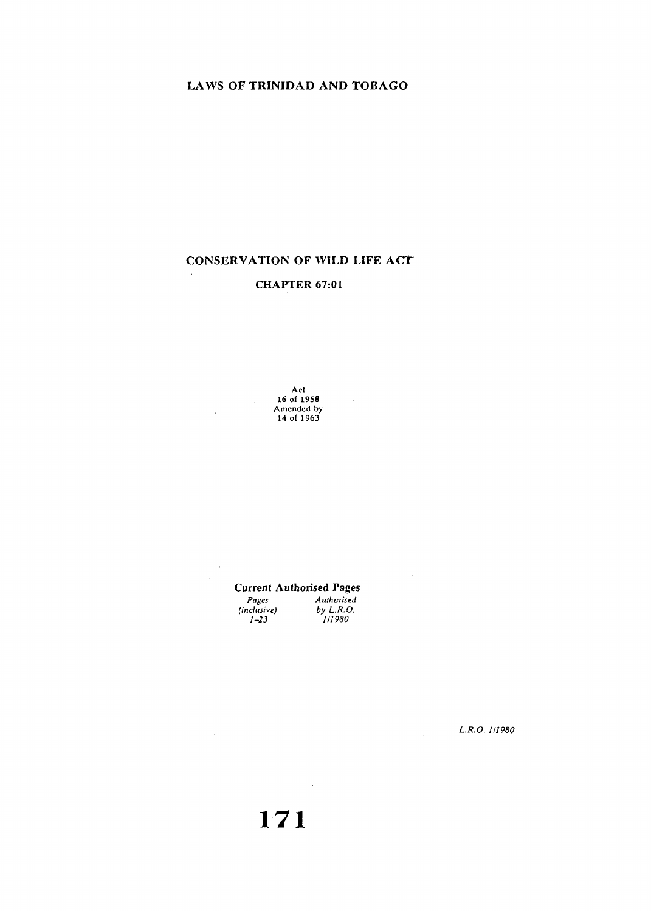## LAWS OF TRINIDAD AND TOBAGO

# CONSERVATION OF WILD LIFE ACT

# CHAPTER 67:01

Act 16 or 1958 Amended by 14 of 1963

 $\bar{z}$ 

 $\bar{z}$ 

 $\sim$ 

 $\mathcal{L}_{\mathrm{eff}}$ 

Current Authorised Pages *Pages (inclusive) 1-23 Authorised by L.R.O. 111980* 

*L.R.O. 111980* 

 $\frac{1}{2}$ 

**171** 

 $\mathcal{L}_{\text{max}}$  and  $\mathcal{L}_{\text{max}}$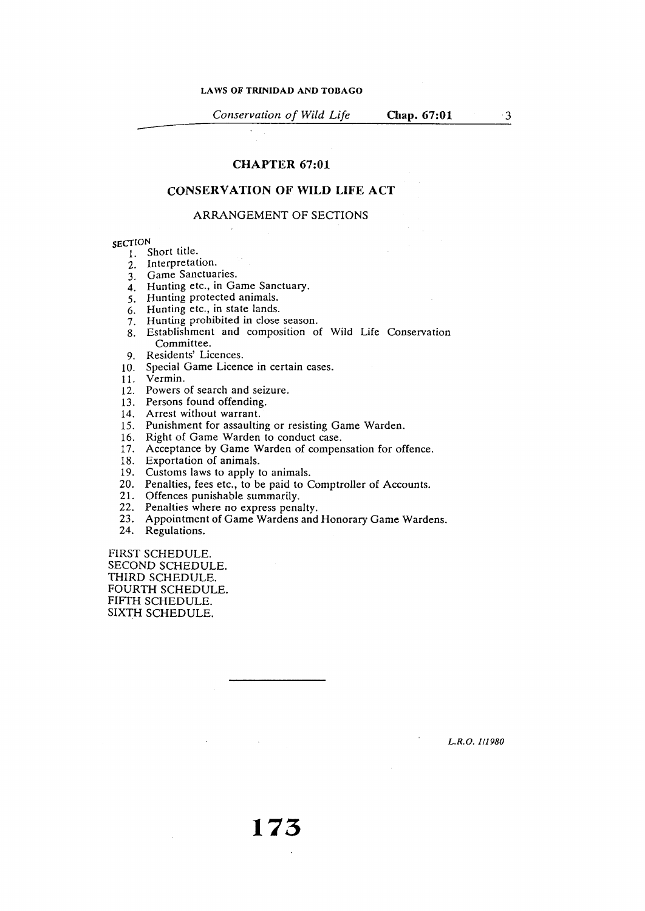$\mathbf{r}$ 

*Conservation of Wild Life* **Chap. 67:01** 

3

#### **CHAPTER 67:01**

#### **CONSERVATION OF WILD LIFE ACT**

#### ARRANGEMENT OF SECTIONS

- **SECTION** 1. Short title.
	- 2. Interpretation.
	- 3. Game Sanctuaries.
	- 4. Hunting etc., in Game Sanctuary.
	- 5. Hunting protected animals.
	- 6. Hunting etc., in state lands.
	- 7. Hunting prohibited **in** close season.
	- 8. Establishment and composition of Wild Life Conservation Committee.
	- 9. Residents' Licences.
	- 10. Special Game Licence in certain cases.
	- 11. Vermin.
	- 12. Powers of search and seizure.
	- 13. Persons found offending.
	- 14. Arrest without warrant.
	- 15. Punishment for assaulting or resisting Game Warden.
	- 16. Right of Game Warden to conduct case.
	- 17. Acceptance by Game Warden of compensation for offence.
	- 18. Exportation of animals.
	- 19. Customs laws to apply to animals.
	- 20. Penalties, fees etc., to be paid to Comptroller of Accounts.
	- 21. Offences punishable summarily.
	- 22. Penalties where no express penalty.
	- 23. Appointment of Game Wardens and Honorary Game Wardens.
	- 24. Regulations.

FIRST SCHEDULE. SECOND SCHEDULE. THIRD SCHEDULE. FOURTH SCHEDULE. FIFTH SCHEDULE. SIXTH SCHEDULE.

*L.R.O. 111980*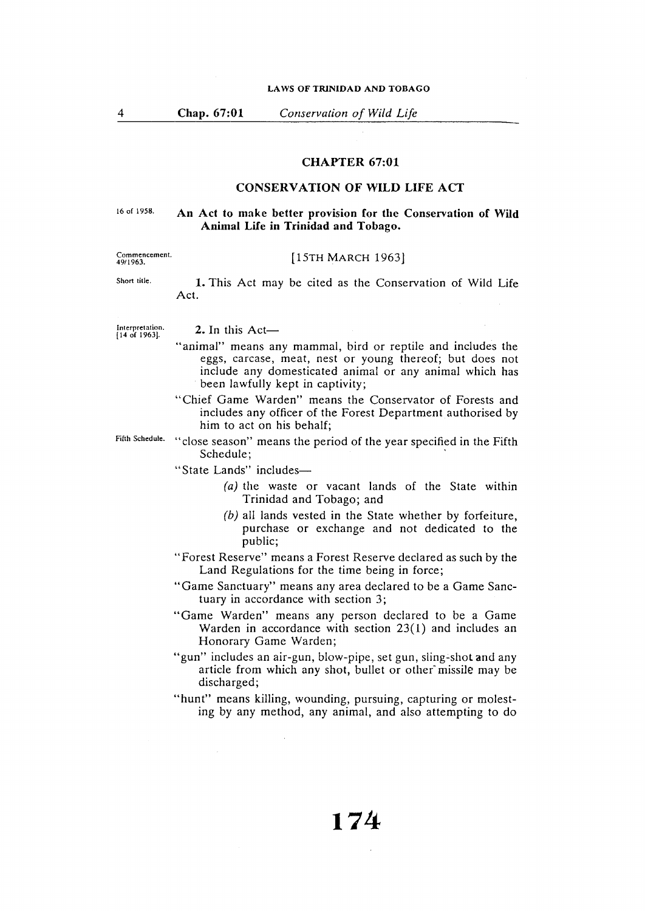**Chap. 67:01** *Conservation of Wild Life* 

#### **CHAPTER 67:01**

### **CONSERVATION OF WILD LIFE ACT**

#### 16 of 1958. **An Act to make better provision for the Conservation of Wild Animal Life in Trinidad and Tobago.**

# Commencement. 49/1963.

Short title.

4

#### [15TH MARCH 1963]

**1.** This Act may be cited as the Conservation of Wild Life Act.

Interpretation. (14 of 1963].

 $2.$  In this Act-

- " animal" means any mammal, bird or reptile and includes the eggs, carcase, meat, nest or young thereof; but does not include any domesticated animal or any animal which has been lawfully kept in captivity;
- "Chief Game Warden" means the Conservator of Forests and includes any officer of the Forest Department authorised by him to act on his behalf;
- Fifth Schedule. "close season" means the period of the year specified in the Fifth Schedule:
	- "State Lands" includes-
		- $(a)$  the waste or vacant lands of the State within Trinidad and Tobago; and
		- (b) all lands vested in the State whether by forfeiture, purchase or exchange and not dedicated to the public;
	- "Forest Reserve" means a Forest Reserve declared as such by the Land Regulations for the time being in force;
	- "Game Sanctuary" means any area declared to be a Game Sanctuary in accordance with section 3;
	- "Game Warden" means any person declared to be a Game Warden in accordance with section 23(1) and includes an Honorary Game Warden;

"gun" includes an air-gun, blow-pipe, set gun, sling-shot and any article from which any shot, bullet or other missile may be discharged;

"hunt" means killing, wounding, pursuing, capturing or molesting by any method, any animal, and also attempting to do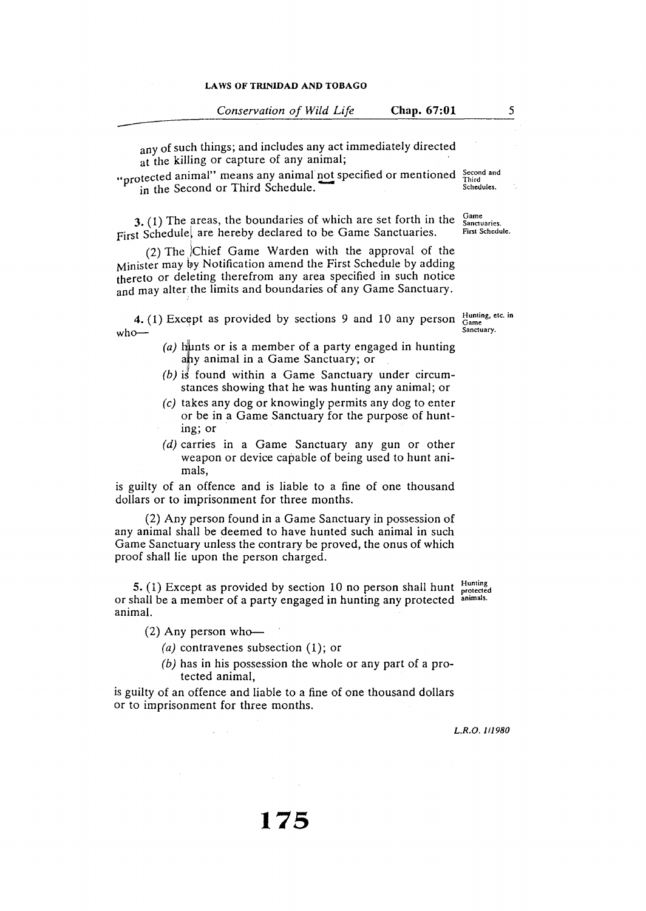| Conservation of Wild Life |  | Chap. 67:01 |
|---------------------------|--|-------------|
|                           |  |             |

any of such things; and includes any act immediately directed at the killing or capture of any animal;

"protected animal" means any animal not specified or mentioned Second and<br>in the Second or Third Schedule. in the Second or Third Schedule.

**3.** (1) The areas, the boundaries of which are set forth in the First Schedule, are hereby declared to be Game Sanctuaries. Game **Sanctuaries.** 

 $(2)$  The Chief Game Warden with the approval of the Minister may by Notification amend the First Schedule by adding thereto or deleting therefrom any area specified in such notice and may alter the limits and boundaries of any Game Sanctuary.

**4.** (1) Except as provided by sections 9 and 10 any person  $\frac{\text{Hunting, etc. in}}{\text{Same}$  $w$ ho $-$ 

- (a) hunts or is a member of a party engaged in hunting ahy animal in a Game Sanctuary; or
- (b) is found within a Game Sanctuary under circumstances showing that he was hunting any animal; or
- (c) takes any dog or knowingly permits any dog to enter or be in a Game Sanctuary for the purpose of hunting; or
- $(d)$  carries in a Game Sanctuary any gun or other weapon or device capable of being used to hunt animals,

is guilty of an offence and is liable to a fine of one thousand dollars or to imprisonment for three months.

(2) Any person found in a Game Sanctuary in possession of any animal shall be deemed to have hunted such animal in such Game Sanctuary unless the contrary be proved, the onus of which proof shall lie upon the person charged.

S. (1) Except as provided by section 10 no person shall hunt or shall be a member of a party engaged in hunting any protected animal. Hunting protected animals.

 $(2)$  Any person who-

- *(a)* contravenes subsection (1); or
- (b) has in his possession the whole or any part of a protected animal,

is guilty of an offence and liable to a fine of one thousand dollars or to imprisonment for three months.

*L.R.O. 1/1980* 

First Schedule.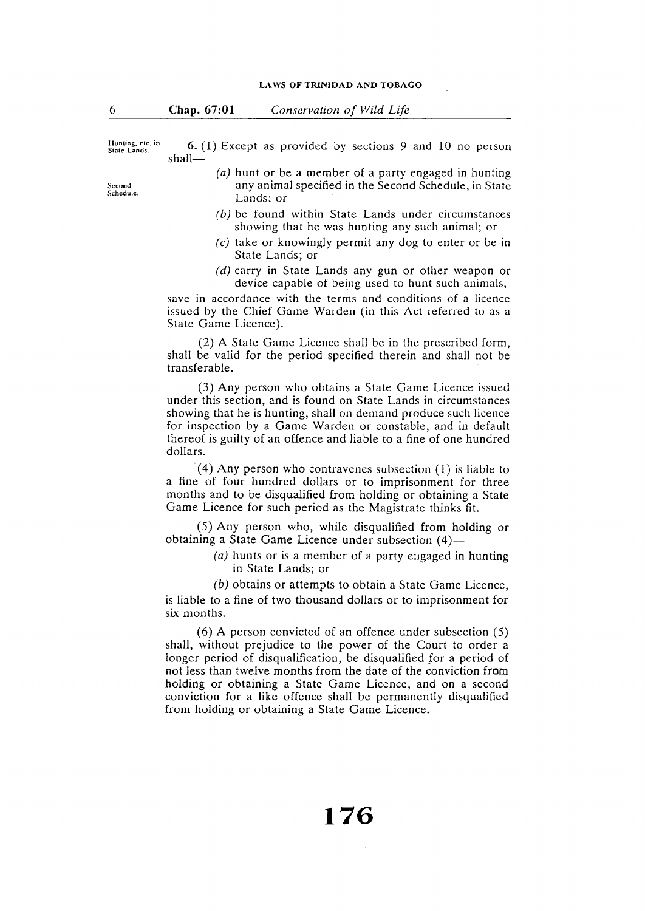Hunting, etc. in<br>State Lands.

**6.** ( 1) Except as provided by sections 9 and 10 no person shall-

- *(a)* hunt or be a member of a party engaged in hunting any animal specified in the Second Schedule, in State Lands; or
- (b) be found within State Lands under circumstances showing that he was hunting any such animal; or
- (c) take or knowingly permit any dog to enter or be in State Lands; or
- (d) carry in State Lands any gun or other weapon or device capable of being used to hunt such animals,

save in accordance with the terms and conditions of a licence issued by the Chief Game Warden (in this Act referred to as a State Game Licence).

(2) A State Game Licence shall be in the prescribed form, shall be valid for the period specified therein and shall not be transferable.

(3) Any person who obtains a State Game Licence issued under this section, and is found on State Lands in circumstances showing that he is hunting, shall on demand produce such licence for inspection by a Game Warden or constable, and in default thereof is guilty of an offence and liable to a fine of one hundred dollars.

(4) Any person who contravenes subsection  $(1)$  is liable to a fine of four hundred dollars or to imprisonment for three months and to be disqualified from holding or obtaining a State Game Licence for such period as the Magistrate thinks fit.

(5) Any person who, while disqualified from holding or obtaining a State Game Licence under subsection (4)—

> (a) hunts or is a member of a party engaged in hunting in State Lands; or

(b) obtains or attempts to obtain a State Game Licence, is liable to a fine of two thousand dollars or to imprisonment for six months.

 $(6)$  A person convicted of an offence under subsection  $(5)$ shall, without prejudice to the power of the Court to order a longer period of disqualification, be disqualified *for* a period of not less than twelve months from the date of the conviction from holding or obtaining a State Game Licence, and on a second conviction for a like offence shall be permanently disqualified from holding or obtaining a State Game Licence.

Second Schedule.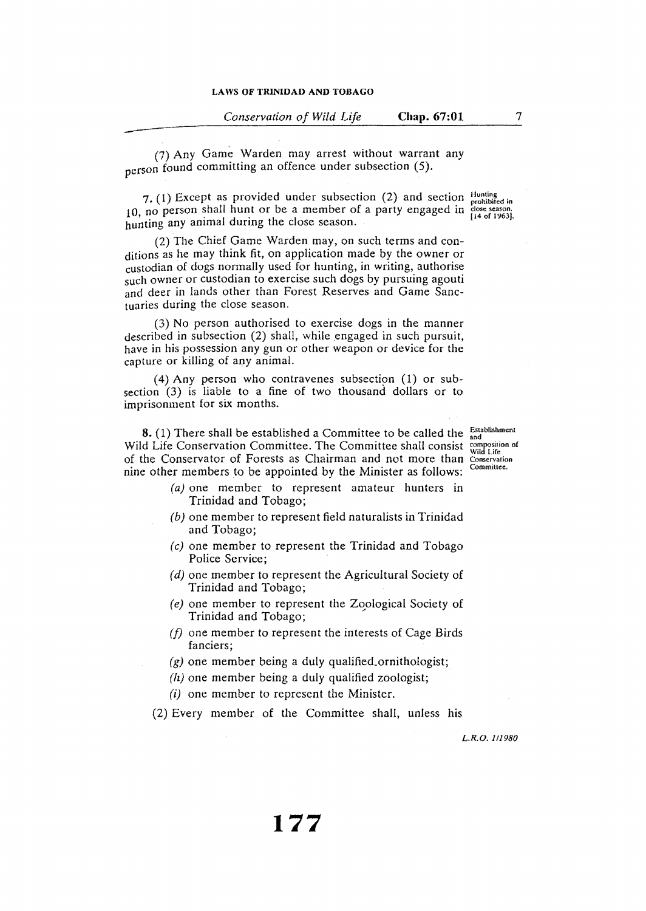*Conservation of Wild Life* **Chap. 67:01** 

(7) Any Game Warden may arrest without warrant any person found committing an offence under subsection (5).

7. (1) Except as provided under subsection (2) and section  $\frac{\text{Hunting}}{\text{probabilityed in}}$ 10, no person shall hunt or be a member of a party engaged in  $\frac{1}{14}$  of 1963]. hunting any animal during the close season.

(2) The Chief Game Warden may, on such terms and conditions as he may think fit, on application made by the owner or custodian of dogs normally used for hunting, in writing, authorise such owner or custodian to exercise such dogs by pursuing agouti and deer in lands other than Forest Reserves and Game Sanctuaries during the close season.

(3) No person authorised to exercise dogs in the manner described in subsection (2) shall, while engaged in such pursuit, have in his possession any gun or other weapon or device for the capture or killing of any animal.

(4) Any person who contravenes subsection  $(1)$  or subsection (3) is liable to a fine of two thousand dollars or to imprisonment for six months.

**8.** (1) There shall be established a Committee to be called the  $\frac{Establishment}{and}$ Wild Life Conservation Committee. The Committee shall consist composition of Wild Life of the Conservator of Forests as Chairman and not more than Conservation nine other members to be appointed by the Minister as follows:

- (a) one member to represent amateur hunters in Trinidad and Tobago;
- (b) one member to represent field naturalists in Trinidad and Tobago;
- (c) one member to represent the Trinidad and Tobago Police Service;
- (d) one member to represent the Agricultural Society of Trinidad and Tobago;
- *(e)* one member to represent the Zoological Society of Trinidad and Tobago;
- *(/)* one member to represent the interests of Cage Birds fanciers;
- $(g)$  one member being a duly qualified ornithologist;
- $(h)$  one member being a duly qualified zoologist;
- (i) one member to represent the Minister.

(2) Every member of the Committee shall, unless his

Committee.

*L.R.O. 111980* 

7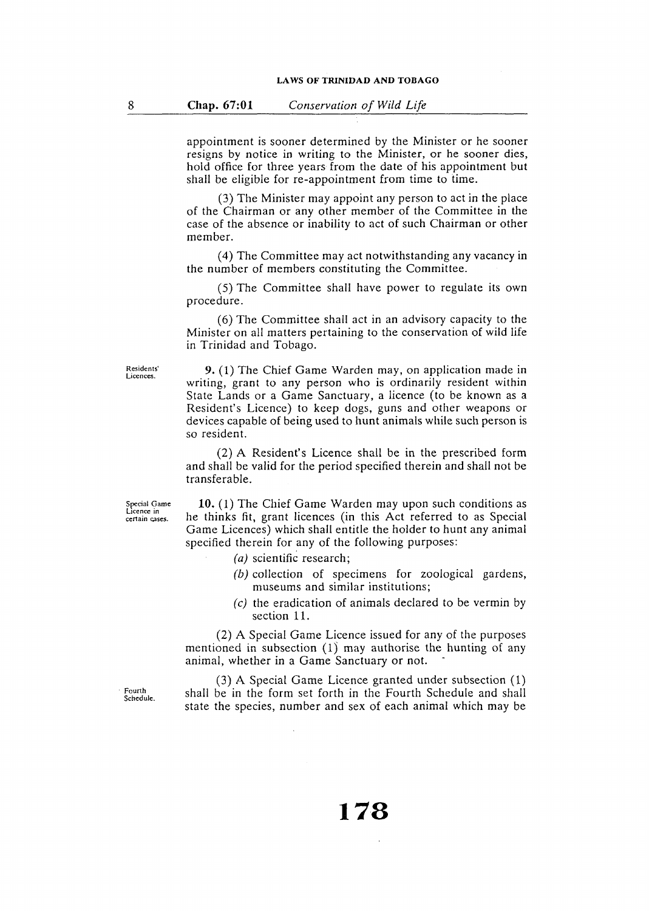appointment is sooner determined by the Minister or he sooner resigns by notice in writing to the Minister, or he sooner dies, hold office for three years from the date of his appointment but shall be eligible for re-appointment from time to time.

(3) The Minister may appoint any person to act in the place of the Chairman or any other member of the Committee in the case of the absence or inability to act of such Chairman or other member.

( 4) The Committee may act notwithstanding any vacancy in the number of members constituting the Committee.

(5) The Committee shall have power to regulate its own procedure.

(6) The Committee shall act in an advisory capacity to the Minister on all matters pertaining to the conservation of wild life in Trinidad and Tobago.

Residents' **Licences.** 

**9.** (1) The Chief Game Warden may, on application made in writing, grant to any person who is ordinarily resident within State Lands or a Game Sanctuary, a licence (to be known as a Resident's Licence) to keep dogs, guns and other weapons or devices capable of being used to hunt animals while such person is so resident.

(2) A Resident's Licence shall be in the prescribed form and shall be valid for the period specified therein and shall not be transferable.

Special Game **Licence in**  certain cases.

**10.** (1) The Chief Game Warden may upon such conditions as he thinks fit, grant licences (in this Act referred to as Special Game Licences) which shall entitle the holder to hunt any animal specified therein for any of the following purposes:

- (a) scientific research;
- (b) collection of specimens for zoological gardens, museums and similar institutions;
- *(c)* the eradication of animals declared to be vermin by section 11.

(2) A Special Game Licence issued for any of the purposes mentioned in subsection (1) may authorise the hunting of any animal, whether in a Game Sanctuary or not.

(3) A Special Game Licence granted under subsection (1) shall be in the form set forth in the Fourth Schedule and shall state the species, number and sex of each animal which may be

#### Fourth Schedule.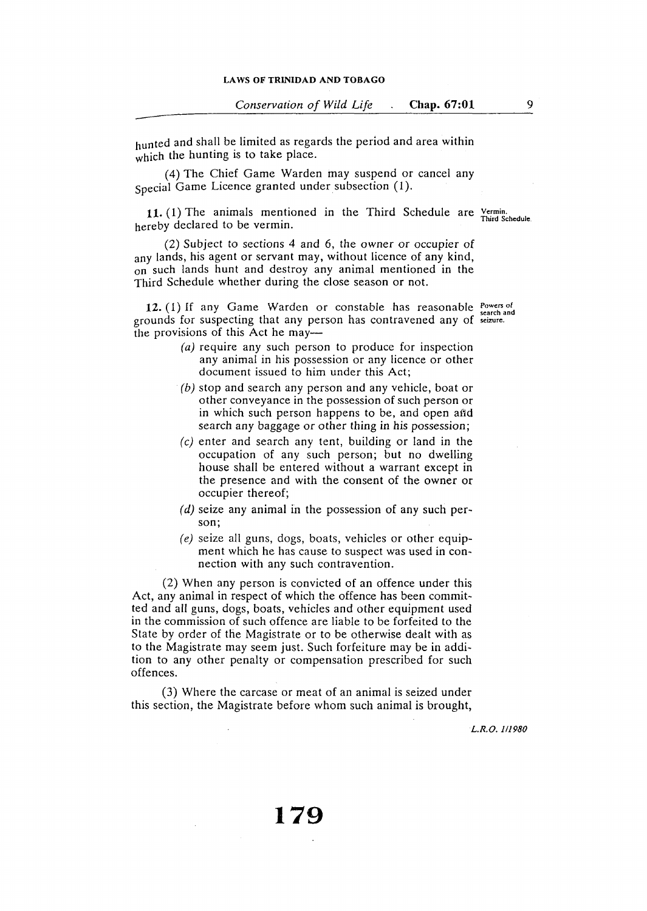9

hunted and shall be limited as regards the period and area within which the hunting is to take place.

(4) The Chief Game Warden may suspend or cancel any Special Game Licence granted under subsection (1).

**11.** (1) The animals mentioned in the Third Schedule **are** Vermin. Third Schedule. hereby declared to be vermin.

(2) Subject to sections 4 and 6, the owner or occupier of any lands, his agent or servant may, without licence of any kind, on such lands hunt and destroy any animal mentioned in the Third Schedule whether during the close season or not.

12. (1) If any Game Warden or constable has reasonable **Powers** of grounds for suspecting that any person has contravened any of seizure. the provisions of this Act he may-

- *( a)* require any such person to produce for inspection any animal in his possession or any licence or other document issued to him under this Act;
- (b) stop and search any person and any vehicle, boat or other conveyance in the possession of such person or in which such person happens to be, and open and search any baggage or other thing in his possession;
- (c) enter and search any tent, building or land in the occupation of any such person; but no dwelling house shall be entered without a warrant except in the presence and with the consent of the owner or occupier thereof;
- $(d)$  seize any animal in the possession of any such person;
- *( e)* seize all guns, dogs, boats, vehicles or other equipment which he has cause to suspect was used in connection with any such contravention.

(2) When any person is convicted of an offence under this Act, any animal in respect of which the offence has been committed and all guns, dogs, boats, vehicles and other equipment used in the commission of such offence are liable to be forfeited to the State by order of the Magistrate or to be otherwise dealt with as to the Magistrate may seem just. Such forfeiture may be in addition to any other penalty or compensation prescribed for such offences.

(3) Where the carcase or meat of an animal is seized under this section, the Magistrate before whom such animal is brought,

*L.R.O. 111980*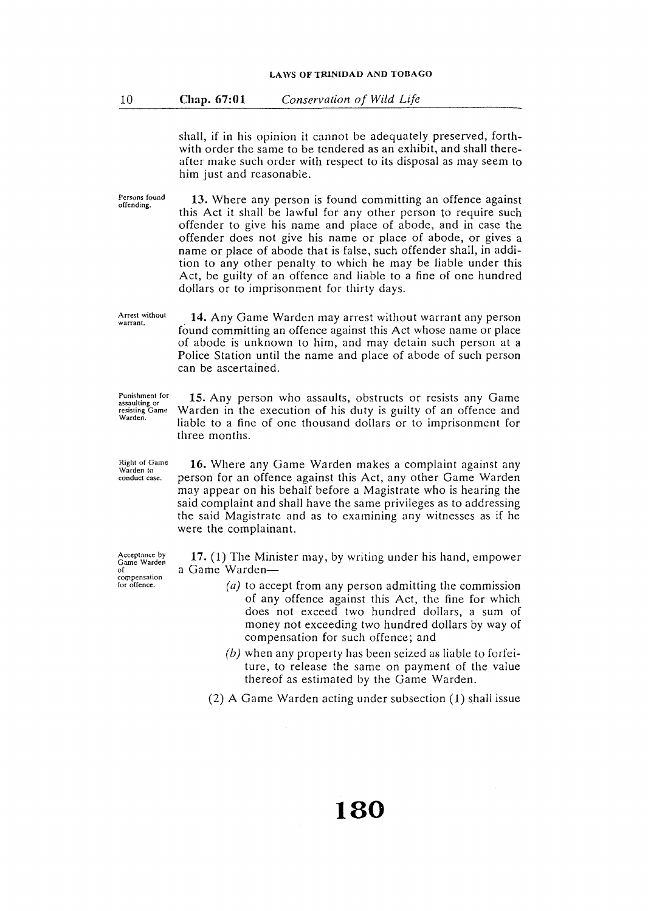shall, if in his opinion it cannot be adequately preserved, forthwith order the same to be tendered as an exhibit, and shall thereafter make such order with respect to its disposal as may seem to him just and reasonable.

Persons found offending. **13.** Where any person is found committing an offence against this Act it shall be lawful for any other person to require such offender to give his name and place of abode, and in case the offender does not give his name or place of abode, or gives a name or place of abode that is false, such offender shall, in addition to any other penalty to which he may be liable under this Act, be guilty of an offence and liable to a fine of one hundred dollars or to imprisonment for thirty days.

Arrest without **warrant. 14.** Any Game Warden may arrest without warrant any person found committing an offence against this Act whose name or place of abode is unknown to him, and may detain such person at a Police Station until the name and place of abode of such person can be ascertained.

Punishment for **assaulting or**  resisting Game Warden.

**15.** Any person who assaults, obstructs or resists any Game Warden in the execution of his duty is guilty of an offence and liable to a fine of one thousand dollars or to imprisonment for three months.

**16.** Where any Game Warden makes a complaint against any person for an offence against this Act, any other Game Warden may appear on his behalf before a Magistrate who is hearing the said complaint and shall have the same privileges as to addressing the said Magistrate and as to examining any witnesses as if he were the complainant.

**17.** (1) The Minister may, by writing under his hand, empower a Game Warden-

- *( a)* to accept from any person admitting the commission of any offence against this Act, the fine for which does not exceed two hundred dollars, a sum of money not exceeding two hundred dollars by way of compensation for such offence; and
- (b) when any property has been seized as liable to forfeiture, to release the same on payment of the value thereof as estimated by the Game Warden.

(2) A Game Warden acting under subsection (1) shall issue

#### Right of Game Warden to conduct case.

Acceptance by Game Warden of compensation<br>for offence.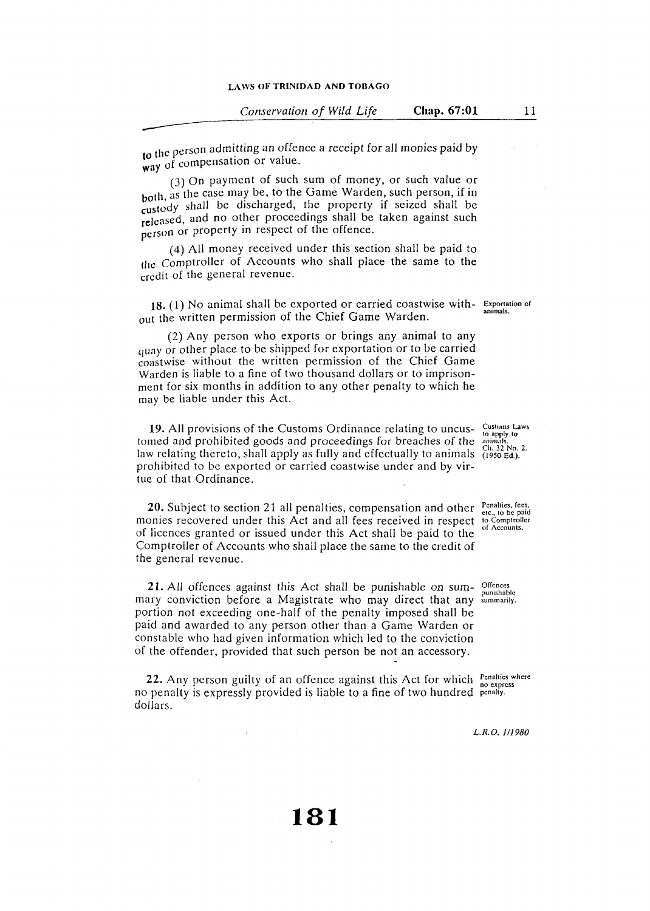11

to the person admitting an offence a receipt for all monies paid by way of compensation or value.

(3) On payment of such sum of money, or such value or both, as the case may be, to the Game Warden, such person, if in custody shall be discharged, the property if seized shall be released, and no other proceedings shall be taken against such person or property in respect of the offence.

( 4) All money received under this section shall be paid to the Comptroller of Accounts who shall place the same to the credit of the general revenue.

18. (1) No animal shall be exported or carried coastwise without the written permission of the Chief Game Warden.

(2) Any person who exports or brings any animal to any quay or other place to be shipped for exportation or to be carried coastwise without the written permission of the Chief Game Warden is liable to a fine of two thousand dollars or to imprisonment for six months in addition to any other penalty to which he may be liable under this Act.

**19.** All provisions of the Customs Ordinance relating to uncus-19. All provisions of the Customs Ordinance relating to uncus-<br>tomed and prohibited goods and proceedings for breaches of the animals.<br>Law state of the animals. law relating thereto, shall apply as fully and effectually to animals  $\frac{1}{11950}$  Ed.). prohibited to be exported or carried coastwise under and by virtue of that Ordinance.

**20.** Subject to section 21 all penalties, compensation and other Penalties, fees, to be paid onles fees, to be paid  $\sum_{\text{etc., to Comptroller}}$ monies recovered under this Act and all fees received in respect of licences granted or issued under this Act shall be paid to the Comptroller of Accounts who shall place the same to the credit of the general revenue.

**21.** All offences against this Act shall be punishable on sum- offences **EXTAR SHORES against this Tick share be punishable** on sain punishable mary conviction before a Magistrate who may direct that any summarily. portion not exceeding one-half of the penalty imposed shall be paid and awarded to any person other than a Game Warden or constable who had given information which led to the conviction of the offender, provided that such person be not an accessory.

22. Any person guilty of an offence against this Act for which **Penallies where** no penalty is expressly provided is liable to a fine of two hundred penalty. dollars.

**animals.** 

of Accounts.

*L.R.O. 1/1980*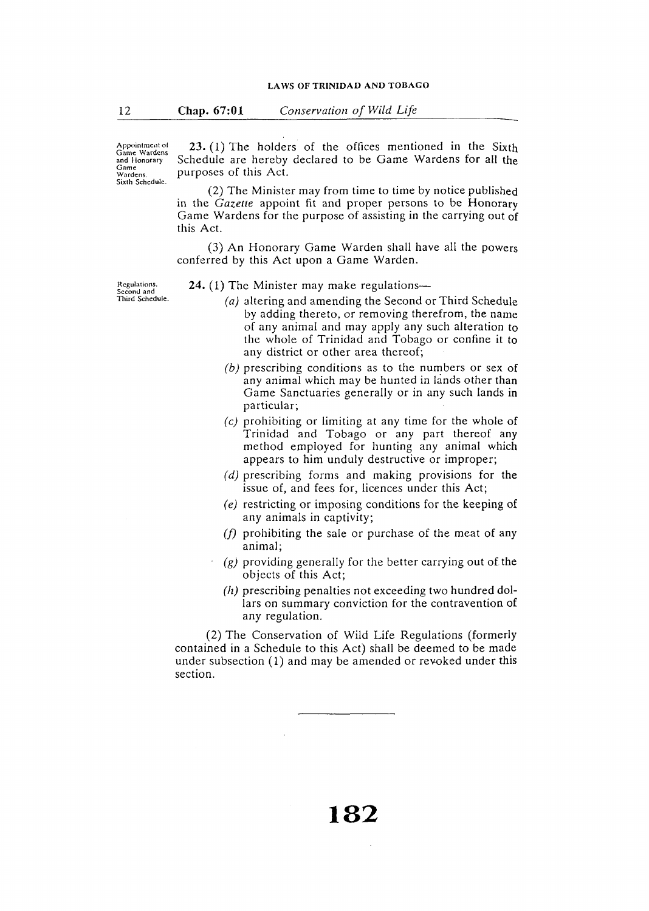Appointment of<br>Game Wardens<br>and Honorary<br>Game<br>Wardens. Sixth Schedule.

23. (1) The holders of the offices mentioned in the Sixth Schedule are hereby declared to be Game Wardens for all the purposes of this Act.

(2) The Minister may from time to time by notice published in the *Gazecte* appoint fit and proper persons to be Honorary Game Wardens for the purpose of assisting in the carrying out of this Act.

(3) An Honorary Game Warden shall have all the powers conferred by this Act upon a Game Warden.

**Regulations.**  Second and<br>Third Schedule.

- **24.** (1) The Minister may make regulations—
	- (a) altering and amending the Second or Third Schedule by adding thereto, or removing therefrom, the name of any animal and may apply any such alteration to the whole of Trinidad and Tobago or confine it to any district or other area thereof;
	- (b) prescribing conditions as to the numbers or sex of any animal which may be hunted in lands other than Game Sanctuaries generally or in any such lands in particular;
	- (c) prohibiting or limiting at any time for the whole of Trinidad and Tobago or any part thereof any method employed for hunting any animal which appears to him unduly destructive or improper;
	- $(d)$  prescribing forms and making provisions for the issue of, and fees for, licences under this Act;
	- *( e)* restricting or imposing conditions for the keeping of any animals in captivity;
	- *(f)* prohibiting the sale or purchase of the meat of any animal;
	- $(g)$  providing generally for the better carrying out of the objects of this Act;
	- *(h)* prescribing penalties not exceeding two hundred dollars on summary conviction for the contravention of any regulation.

(2) The Conservation of Wild Life Regulations (formerly contained in a Schedule to this Act) shall be deemed to be made under subsection (1) and may be amended or revoked under this section.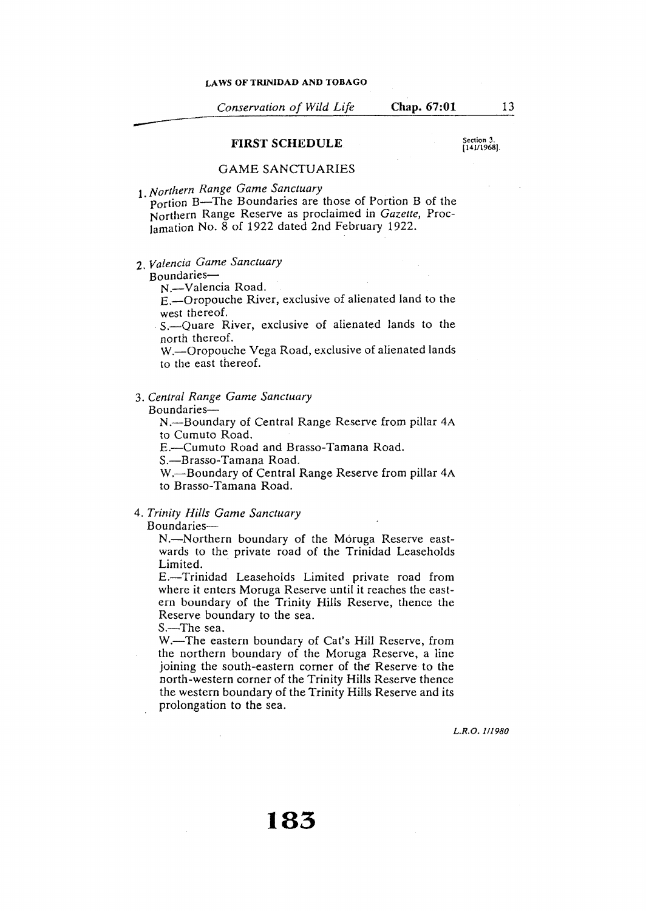*Conservation of Wild Life* **Chap. 67:01** 

#### **FIRST SCHEDULE**

Section 3. (141/1968).

13

#### GAME SANCTUARIES

**1***. Northern Range Game Sanctuary*<br>**Portion B—The Boundaries are those of Portion B of the** Northern Range Reserve as proclaimed in *Gazette,* Proclamation No. 8 of 1922 dated 2nd February 1922.

2. *Valencia Game Sanctuary* 

### Boundaries-

N.-Valencia Road.

E.-Oropouche River, exclusive of alienated land to the

S.-Ouare River, exclusive of alienated lands to the north thereof.

W.-Oropouche Vega Road, exclusive of alienated lands to the east thereof.

## 3. *Central Range Game Sanctuary*

Boundaries-

N.-Boundary of Central Range Reserve from pillar 4A to Cumuto Road.

E.-Cumuto Road and Brasso-Tamana Road.

S.-Brasso-Tamana Road.

W.-Boundary of Central Range Reserve from pillar 4A to Brasso-Tamana Road.

# 4. *Trinity Hills Game Sanctuary*

Boundaries-

N.-Northern boundary of the Móruga Reserve eastwards to the private road of the Trinidad Leaseholds Limited.

E.-Trinidad Leaseholds Limited private road from where it enters Moruga Reserve until it reaches the eastern boundary of the Trinity Hills Reserve, thence the Reserve boundary to the sea.

S.-The sea.

W.-The eastern boundary of Cat's Hill Reserve, from the northern boundary of the Moruga Reserve, a line joining the south-eastern corner of the Reserve to the north-western corner of the Trinity Hills Reserve thence the western boundary of the Trinity Hills Reserve and its prolongation to the sea.

*L.R.O. 111980*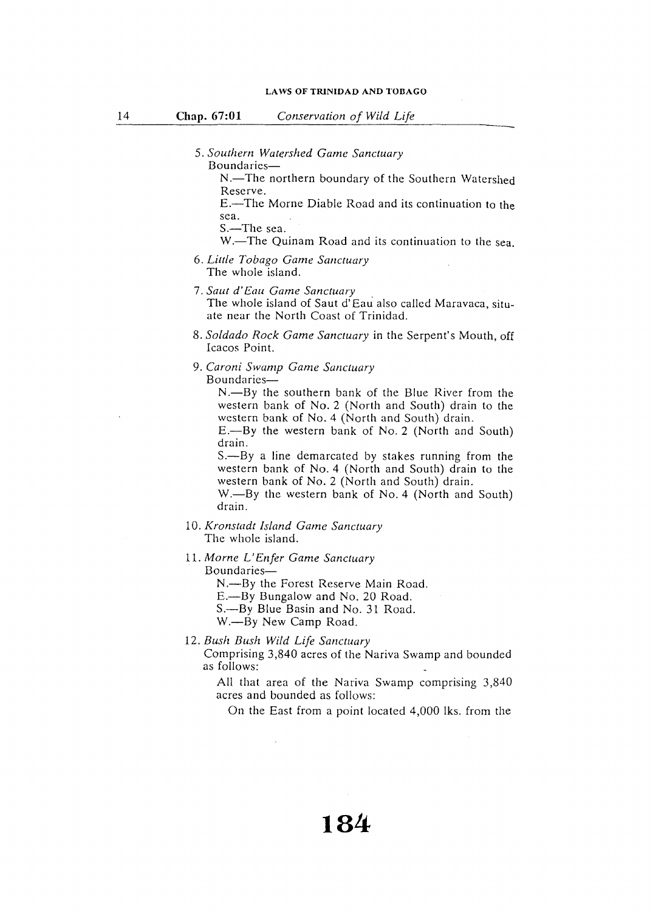#### **Chap. 67:01** *Conservation of Wild Life*

- 5. Southern Watershed Game Sanctuary Boundaries-
	- N.-The northern boundary of the Southern Watershed Reserve.

E.-The Marne Diable Road and its continuation to the sea.

```
S.—The sea.
```
W.-The Quinam Road and its continuation to the sea.

- 6. *Little Tobago Game Sanctuary*  The whole island.
- 7. *Saul d' Eau Game Sanctuary*  The whole island of Saut d' Eau also called Maravaca, situate near the North Coast of Trinidad.
- 8. *So/dado Rock Game Sanctuary* in the Serpent's Mouth, off Icacos Point.
- 9. *Caroni Swamp Game Sanctuary*

Boundaries-

 $N$ -By the southern bank of the Blue River from the western bank of No. 2 (North and South) drain to the western bank of No. 4 (North and South) drain.

E.-By the western bank of No. 2 (North and South) drain.

S.—By a line demarcated by stakes running from the western bank of No. 4 (North and South) drain to the western bank of No. 2 (North and South) drain.

W.-By the western bank of No. 4 (North and South) drain.

10. *Kronstadt Island Game Sanctuary* 

The whole island.

11. *Marne L' En fer Game Sanctuary* 

Boundaries-

N.--By the Forest Reserve Main Road.

E.-By Bungalow and No. 20 Road.

S.-By Blue Basin and No. 31 Road.

W.-By New Camp Road.

12. *Bush Bush Wild Life Sanctuary* 

Comprising 3,840 acres of the Nariva Swamp and bounded as follows:

All that area of the Nariva Swamp comprising 3,840 acres and bounded as follows:

On the East from a point located 4,000 !ks. from the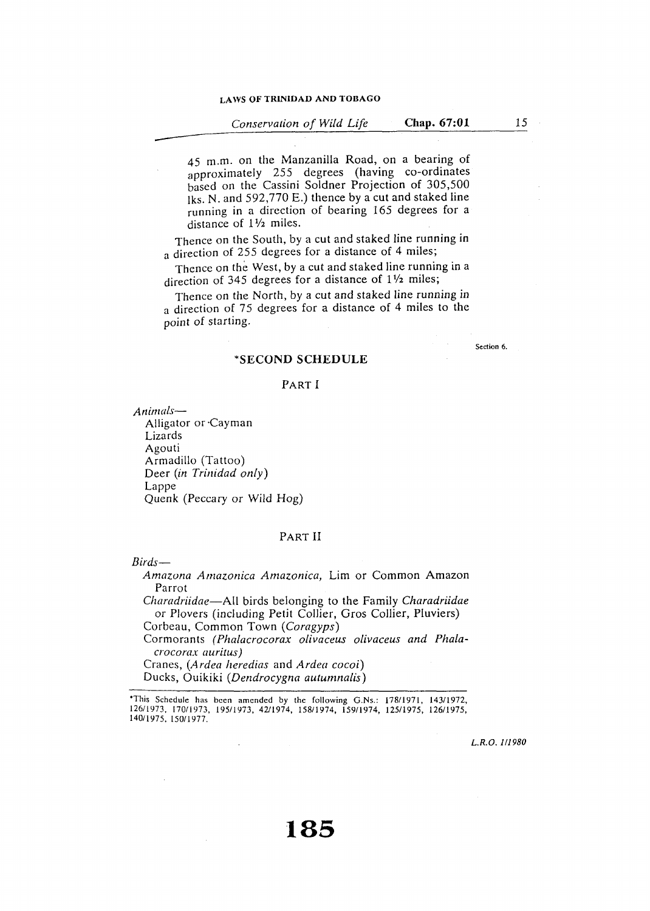45 m.m. on the Manzanilla Road, on a bearing of approximately 255 degrees (having co-ordinates based on the Cassini Soldner Projection of 305,500 Jks. N. and 592,770 E.) thence by a cut and staked line running in a direction of bearing 165 degrees for a distance of  $1\frac{1}{2}$  miles.

Thence on the South, by a cut and staked line running in a direction of 255 degrees for a distance of 4 miles;

Thence on the West, by a cut and staked line running in a direction of 345 degrees for a distance of  $1\frac{1}{2}$  miles;

Thence on the North, by a cut and staked line running in a direction of 75 degrees for a distance of 4 miles to the point of starting.

Section 6.

## **\*SECOND SCHEDULE**

#### PART I

*Animals-*

Alligator or ·Cayman Lizards Agouti Armadillo (Tattoo) Deer *(in Trinidad only)*  Lappe Quenk (Peccary or Wild Hog)

#### PART II

*Birds-*

*Amazona Amazonica Amazonica,* Lim or Common Amazon Parrot

*Charadriidae-All* birds belonging to the Family *Charadriidae*  or Plovers (including Petit Collier, Gros Collier, Pluviers) Corbeau, Common Town *(Coragyps)* 

Cormorants *(Phalacrocorax olivaceus olivaceus and Phalacrocorax auritus)* 

Cranes, *(Ardea heredias* and *Ardea cocoi)*  Ducks, Ouikiki *(Dendrocygna autumnalis)* 

L.R.O.1I1980

<sup>•</sup>This Schedule has been amended by the following G.Ns.: 178/1971, 143/1972, 126/1973, 170/1973, 195/1973, 42/1974, 158/1974, 159/1974, 125/1975, 126/1975, 140/1975, 150/1977.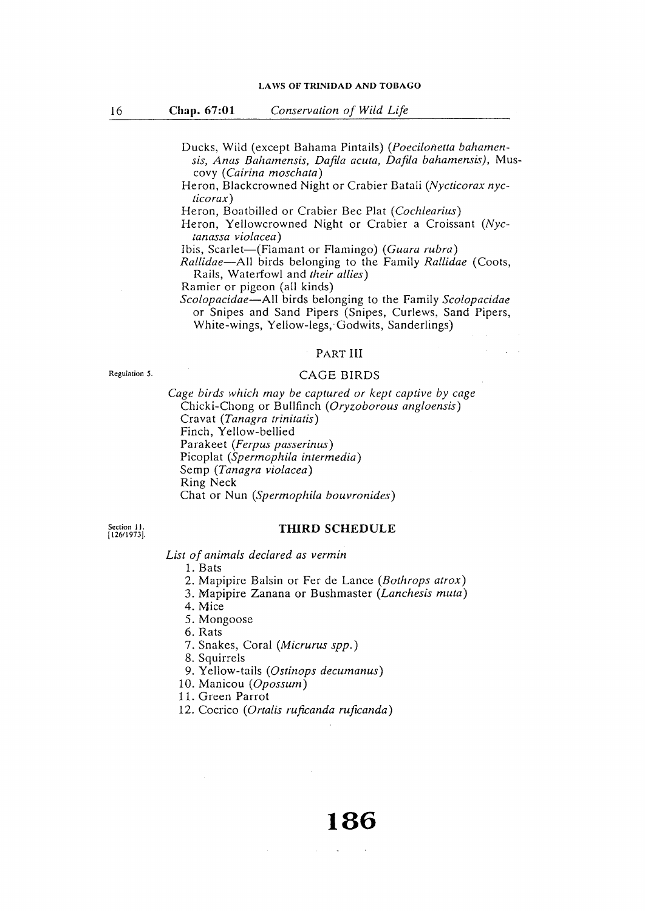Ducks, Wild ( except Bahama Pintails) *(Poecilonetta bahamensis, Anas Bahamensis, Dafila acuta, Dafila bahamensis),* Muscovy *(Cairina moschata)* 

Heron, Blackcrowned Night or Crabier Batali *(Nycticorax nycticorax)* 

Heron, Boatbilled or Crabier Bee Plat *(Cochlearius)* 

Heron, Yellowcrowned Night or Crabier a Croissant *(Nyctanassa violacea)* 

Ibis, Scarlet-(Flamant or Flamingo) *(Guara rubra)* 

*Rallidae-All* birds belonging to the Family *Rallidae* (Coots, Rails, Wateriowl and *their allies)* 

Ramier or pigeon (all kinds)

*Scolopacidae-AII* birds belonging to the Family *Scolopacidae*  or Snipes and Sand Pipers (Snipes, Curlews, Sand Pipers, White-wings, Yellow-legs, Godwits, Sanderlings)

#### PART III

Regulation 5.

#### CAGE BIRDS

*Cage birds which may be captured or kept captive by cage*  Chicki-Chong or Bullfinch *(Oryzoborous angloensis)*  Cravat *(Tanagra trinitatis)*  Finch, Yellow-bellied Parakeet *(Ferpus passerinus)*  Picoplat *(Spermophila intermedia)*  Semp *(Tanagra violacea)*  Ring Neck Chat or Nun *(Spermophila bouvronides)* 

Section 11. [126/1973].

#### **THIRD SCHEDULE**

*List of animals declared as vermin* 

1. Bats

- 2. Mapipire Balsin or Fer de Lance *(Bothrops atrox)*
- 3. Mapipire Zanana or Bushmaster *(Lanchesis muta)*
- 4. Mice
- 5. Mongoose
- 6. Rats
- 7. Snakes, Coral *(Micrurus spp.)*
- 8. Squirrels
- 9. Yellow-tails *(Ostinops decumanus)*
- 10. Manicou *(Opossum)*

11. Green Parrot

12. Cocrico *(Orta/is ruficanda ruficanda)*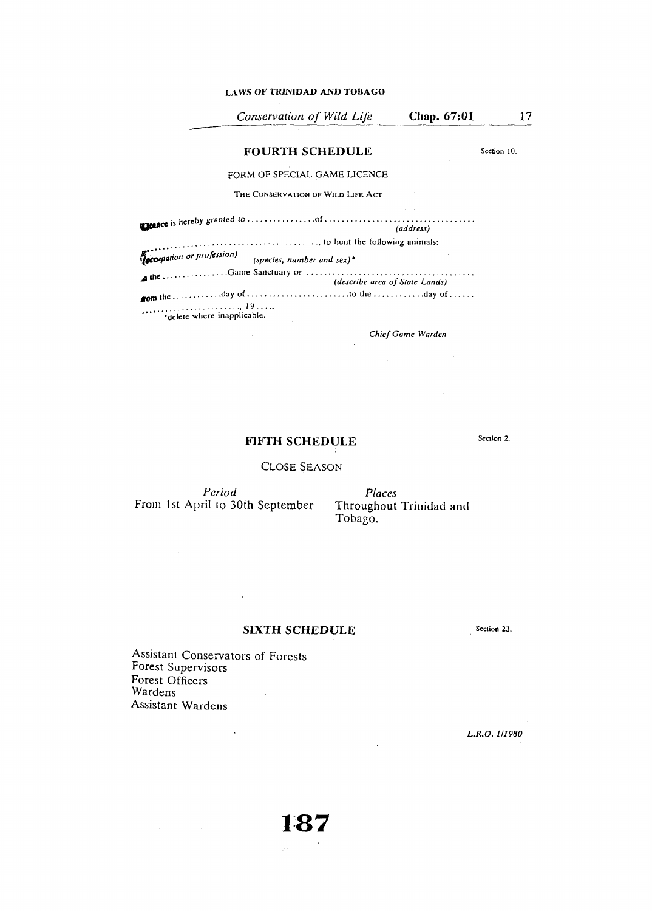#### **LAWS OF TRINIDAD AND TOBAGO**

| Conservation of Wild Life                                                   | Chap. 67:01       |             |
|-----------------------------------------------------------------------------|-------------------|-------------|
| <b>FOURTH SCHEDULE</b>                                                      |                   | Section 10. |
| FORM OF SPECIAL GAME LICENCE                                                |                   |             |
| THE CONSERVATION OF WILD LIFE ACT                                           |                   |             |
|                                                                             | (address)         |             |
| , to hunt the following animals:                                            |                   |             |
| <b>Coccupation or profession)</b><br>(species, number and sex) <sup>*</sup> |                   |             |
| (describe area of State Lands)                                              |                   |             |
| *delete where inapplicable.                                                 |                   |             |
|                                                                             | Chief Game Warden |             |
|                                                                             |                   |             |

# **HFTH SCHEDULE**

CLOSE SEASON

*Period*  From 1st April to 30th September

 $\mathcal{L}^{\pm}$ 

*Places*<br>Throughout Trinidad and Tobago.

 $\Delta \sim 10^4$ 

 $\mathcal{A}^{\mathcal{A}}$  and  $\mathcal{A}^{\mathcal{A}}$  $\mathcal{L}_{\text{eff}}$ 

# **SIXTH SCHEDULE**

**1:37** 

 $\hat{f}(\hat{f})$  and  $\hat{f}(\hat{f})$  and  $\hat{f}(\hat{f})$ 

Section 23.

Section 2.

Assistant Conservators of Forests Forest Supervisors Forest Officers Wardens  $\label{eq:2} \frac{1}{\sqrt{2}}\left(\frac{1}{\sqrt{2}}\right)^2$ Assistant Wardens

 $\label{eq:2.1} \frac{1}{\sqrt{2}}\sum_{i=1}^n\frac{1}{\sqrt{2}}\sum_{i=1}^n\frac{1}{\sqrt{2}}\sum_{i=1}^n\frac{1}{\sqrt{2}}\sum_{i=1}^n\frac{1}{\sqrt{2}}\sum_{i=1}^n\frac{1}{\sqrt{2}}\sum_{i=1}^n\frac{1}{\sqrt{2}}\sum_{i=1}^n\frac{1}{\sqrt{2}}\sum_{i=1}^n\frac{1}{\sqrt{2}}\sum_{i=1}^n\frac{1}{\sqrt{2}}\sum_{i=1}^n\frac{1}{\sqrt{2}}\sum_{i=1}^n\frac$ 

 $\sim 10$ 

*L.R.O. 111980*